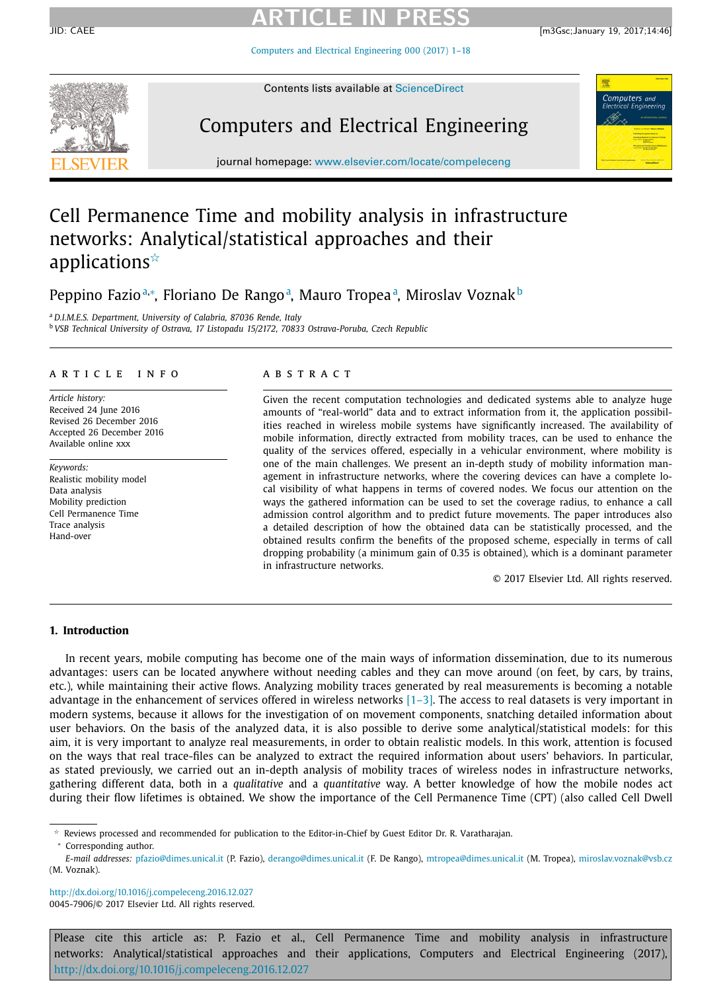# **ARTICLE IN PRESS**

JID: CAEE [m3Gsc;January 19, 2017;14:46]

Computers

Computers and Electrical [Engineering](http://dx.doi.org/10.1016/j.compeleceng.2016.12.027) 000 (2017) 1–18



Contents lists available at [ScienceDirect](http://www.ScienceDirect.com)

### Computers and Electrical Engineering

journal homepage: [www.elsevier.com/locate/compeleceng](http://www.elsevier.com/locate/compeleceng)

### Cell Permanence Time and mobility analysis in infrastructure networks: Analytical/statistical approaches and their applications $\mathrm{\hat{z}}$

### Peppino Fazioª∗, Floriano De Rangoª, Mauro Tropeaª, Miroslav Voznak<sup>b</sup>

<sup>a</sup> *D.I.M.E.S. Department, University of Calabria, 87036 Rende, Italy*

<sup>b</sup> *VSB Technical University of Ostrava, 17 Listopadu 15/2172, 70833 Ostrava-Poruba, Czech Republic*

#### A R T I C L E I N F O

*Article history:* Received 24 June 2016 Revised 26 December 2016 Accepted 26 December 2016 Available online xxx

*Keywords:* Realistic mobility model Data analysis Mobility prediction Cell Permanence Time Trace analysis Hand-over

#### A B S T R A C T

Given the recent computation technologies and dedicated systems able to analyze huge amounts of "real-world" data and to extract information from it, the application possibilities reached in wireless mobile systems have significantly increased. The availability of mobile information, directly extracted from mobility traces, can be used to enhance the quality of the services offered, especially in a vehicular environment, where mobility is one of the main challenges. We present an in-depth study of mobility information management in infrastructure networks, where the covering devices can have a complete local visibility of what happens in terms of covered nodes. We focus our attention on the ways the gathered information can be used to set the coverage radius, to enhance a call admission control algorithm and to predict future movements. The paper introduces also a detailed description of how the obtained data can be statistically processed, and the obtained results confirm the benefits of the proposed scheme, especially in terms of call dropping probability (a minimum gain of 0.35 is obtained), which is a dominant parameter in infrastructure networks.

© 2017 Elsevier Ltd. All rights reserved.

#### **1. Introduction**

In recent years, mobile computing has become one of the main ways of information dissemination, due to its numerous advantages: users can be located anywhere without needing cables and they can move around (on feet, by cars, by trains, etc.), while maintaining their active flows. Analyzing mobility traces generated by real measurements is becoming a notable advantage in the enhancement of services offered in wireless networks  $[1-3]$ . The access to real datasets is very important in modern systems, because it allows for the investigation of on movement components, snatching detailed information about user behaviors. On the basis of the analyzed data, it is also possible to derive some analytical/statistical models: for this aim, it is very important to analyze real measurements, in order to obtain realistic models. In this work, attention is focused on the ways that real trace-files can be analyzed to extract the required information about users' behaviors. In particular, as stated previously, we carried out an in-depth analysis of mobility traces of wireless nodes in infrastructure networks, gathering different data, both in a *qualitative* and a *quantitative* way. A better knowledge of how the mobile nodes act during their flow lifetimes is obtained. We show the importance of the Cell Permanence Time (CPT) (also called Cell Dwell

<http://dx.doi.org/10.1016/j.compeleceng.2016.12.027> 0045-7906/© 2017 Elsevier Ltd. All rights reserved.

Please cite this article as: P. Fazio et al., Cell Permanence Time and mobility analysis in infrastructure networks: Analytical/statistical approaches and their applications, Computers and Electrical Engineering (2017), <http://dx.doi.org/10.1016/j.compeleceng.2016.12.027>

 $*$  Reviews processed and recommended for publication to the Editor-in-Chief by Guest Editor Dr. R. Varatharajan. <sup>∗</sup> Corresponding author.

*E-mail addresses:* [pfazio@dimes.unical.it](mailto:pfazio@dimes.unical.it) (P. Fazio), [derango@dimes.unical.it](mailto:derango@dimes.unical.it) (F. De Rango), [mtropea@dimes.unical.it](mailto:mtropea@dimes.unical.it) (M. Tropea), [miroslav.voznak@vsb.cz](mailto:miroslav.voznak@vsb.cz) (M. Voznak).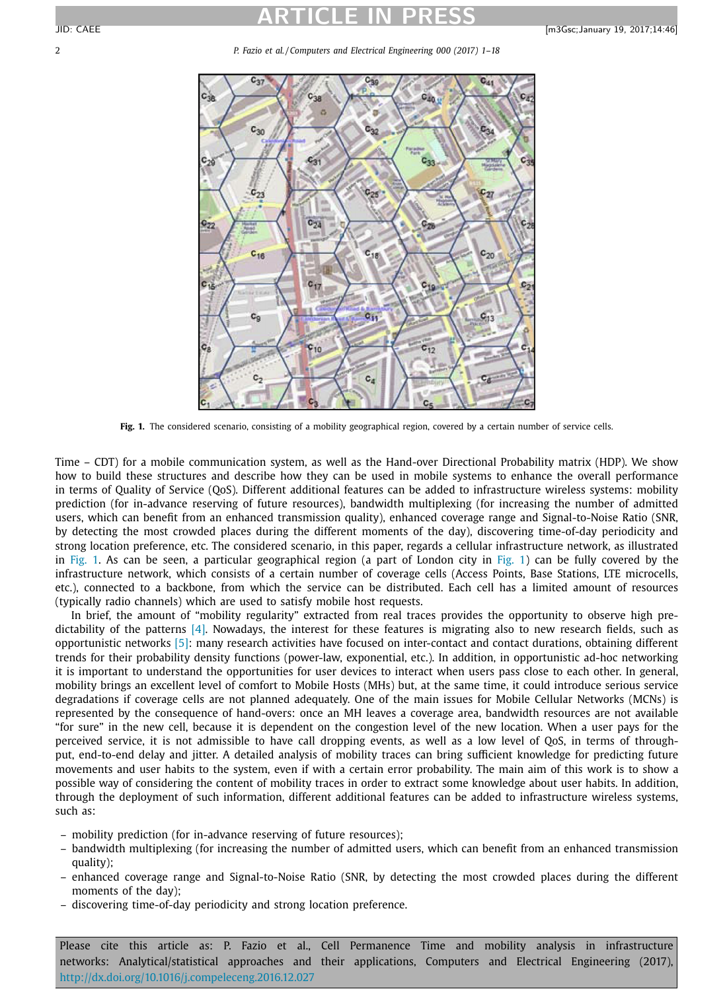## **ARTICLE IN PRESS**

2 *P. Fazio et al. / Computers and Electrical Engineering 000 (2017) 1–18*



**Fig. 1.** The considered scenario, consisting of a mobility geographical region, covered by a certain number of service cells.

Time – CDT) for a mobile communication system, as well as the Hand-over Directional Probability matrix (HDP). We show how to build these structures and describe how they can be used in mobile systems to enhance the overall performance in terms of Quality of Service (QoS). Different additional features can be added to infrastructure wireless systems: mobility prediction (for in-advance reserving of future resources), bandwidth multiplexing (for increasing the number of admitted users, which can benefit from an enhanced transmission quality), enhanced coverage range and Signal-to-Noise Ratio (SNR, by detecting the most crowded places during the different moments of the day), discovering time-of-day periodicity and strong location preference, etc. The considered scenario, in this paper, regards a cellular infrastructure network, as illustrated in Fig. 1. As can be seen, a particular geographical region (a part of London city in Fig. 1) can be fully covered by the infrastructure network, which consists of a certain number of coverage cells (Access Points, Base Stations, LTE microcells, etc.), connected to a backbone, from which the service can be distributed. Each cell has a limited amount of resources (typically radio channels) which are used to satisfy mobile host requests.

In brief, the amount of "mobility regularity" extracted from real traces provides the opportunity to observe high predictability of the patterns [\[4\].](#page--1-0) Nowadays, the interest for these features is migrating also to new research fields, such as opportunistic networks [\[5\]:](#page--1-0) many research activities have focused on inter-contact and contact durations, obtaining different trends for their probability density functions (power-law, exponential, etc.). In addition, in opportunistic ad-hoc networking it is important to understand the opportunities for user devices to interact when users pass close to each other. In general, mobility brings an excellent level of comfort to Mobile Hosts (MHs) but, at the same time, it could introduce serious service degradations if coverage cells are not planned adequately. One of the main issues for Mobile Cellular Networks (MCNs) is represented by the consequence of hand-overs: once an MH leaves a coverage area, bandwidth resources are not available "for sure" in the new cell, because it is dependent on the congestion level of the new location. When a user pays for the perceived service, it is not admissible to have call dropping events, as well as a low level of QoS, in terms of throughput, end-to-end delay and jitter. A detailed analysis of mobility traces can bring sufficient knowledge for predicting future movements and user habits to the system, even if with a certain error probability. The main aim of this work is to show a possible way of considering the content of mobility traces in order to extract some knowledge about user habits. In addition, through the deployment of such information, different additional features can be added to infrastructure wireless systems, such as:

- mobility prediction (for in-advance reserving of future resources);
- bandwidth multiplexing (for increasing the number of admitted users, which can benefit from an enhanced transmission quality);
- enhanced coverage range and Signal-to-Noise Ratio (SNR, by detecting the most crowded places during the different moments of the day);
- discovering time-of-day periodicity and strong location preference.

Please cite this article as: P. Fazio et al., Cell Permanence Time and mobility analysis in infrastructure networks: Analytical/statistical approaches and their applications, Computers and Electrical Engineering (2017), <http://dx.doi.org/10.1016/j.compeleceng.2016.12.027>